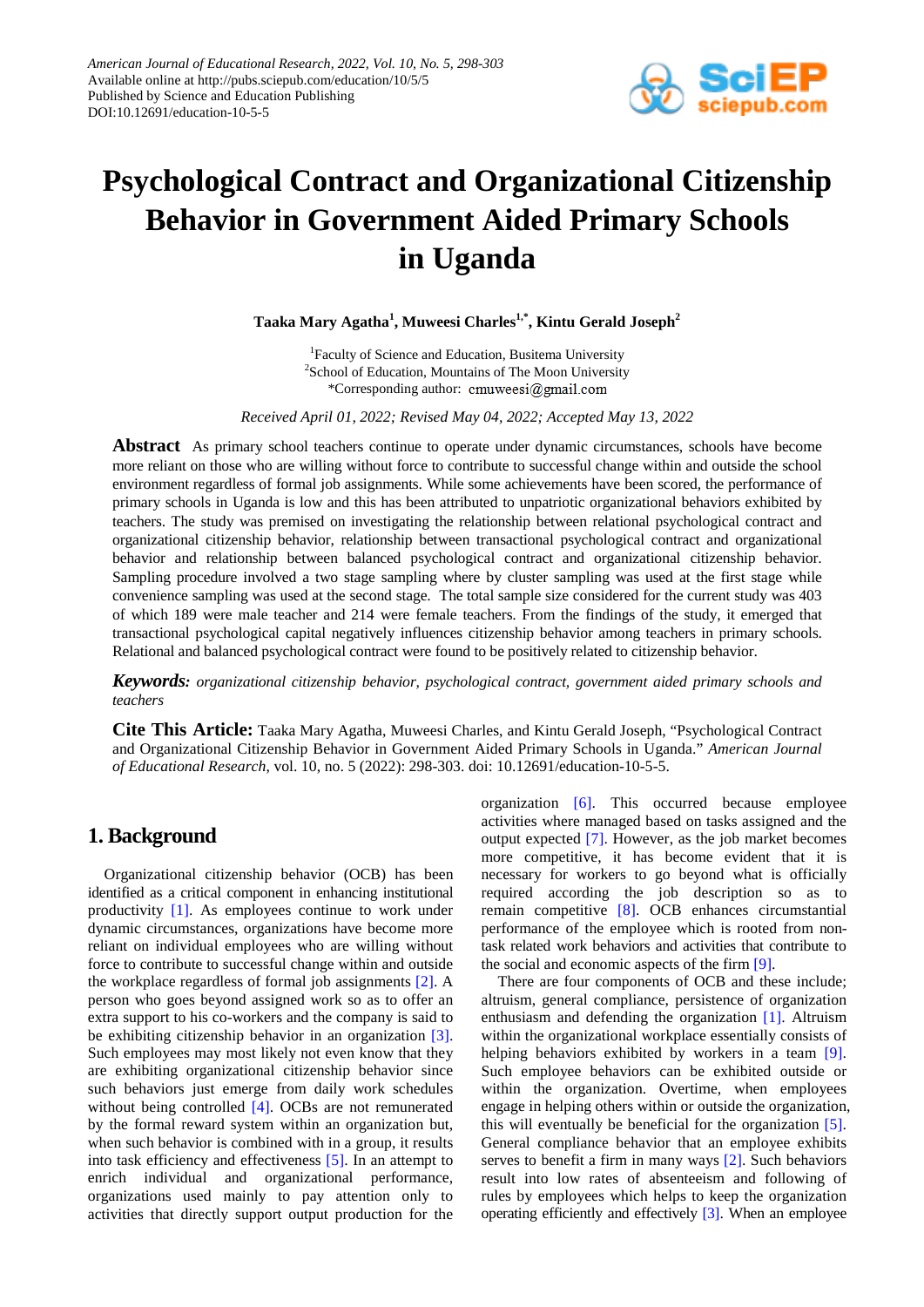

# **Psychological Contract and Organizational Citizenship Behavior in Government Aided Primary Schools in Uganda**

**Taaka Mary Agatha<sup>1</sup> , Muweesi Charles1,\*, Kintu Gerald Joseph2**

<sup>1</sup>Faculty of Science and Education, Busitema University <sup>2</sup>School of Education, Mountains of The Moon University \*Corresponding author: cmuweesi@gmail.com

*Received April 01, 2022; Revised May 04, 2022; Accepted May 13, 2022*

**Abstract** As primary school teachers continue to operate under dynamic circumstances, schools have become more reliant on those who are willing without force to contribute to successful change within and outside the school environment regardless of formal job assignments. While some achievements have been scored, the performance of primary schools in Uganda is low and this has been attributed to unpatriotic organizational behaviors exhibited by teachers. The study was premised on investigating the relationship between relational psychological contract and organizational citizenship behavior, relationship between transactional psychological contract and organizational behavior and relationship between balanced psychological contract and organizational citizenship behavior. Sampling procedure involved a two stage sampling where by cluster sampling was used at the first stage while convenience sampling was used at the second stage. The total sample size considered for the current study was 403 of which 189 were male teacher and 214 were female teachers. From the findings of the study, it emerged that transactional psychological capital negatively influences citizenship behavior among teachers in primary schools. Relational and balanced psychological contract were found to be positively related to citizenship behavior.

*Keywords: organizational citizenship behavior, psychological contract, government aided primary schools and teachers*

**Cite This Article:** Taaka Mary Agatha, Muweesi Charles, and Kintu Gerald Joseph, "Psychological Contract and Organizational Citizenship Behavior in Government Aided Primary Schools in Uganda." *American Journal of Educational Research*, vol. 10, no. 5 (2022): 298-303. doi: 10.12691/education-10-5-5.

## **1. Background**

Organizational citizenship behavior (OCB) has been identified as a critical component in enhancing institutional productivity [\[1\].](#page-4-0) As employees continue to work under dynamic circumstances, organizations have become more reliant on individual employees who are willing without force to contribute to successful change within and outside the workplace regardless of formal job assignments [\[2\].](#page-4-1) A person who goes beyond assigned work so as to offer an extra support to his co-workers and the company is said to be exhibiting citizenship behavior in an organization [\[3\].](#page-4-2) Such employees may most likely not even know that they are exhibiting organizational citizenship behavior since such behaviors just emerge from daily work schedules without being controlled [\[4\].](#page-4-3) OCBs are not remunerated by the formal reward system within an organization but, when such behavior is combined with in a group, it results into task efficiency and effectiveness [\[5\].](#page-4-4) In an attempt to enrich individual and organizational performance, organizations used mainly to pay attention only to activities that directly support output production for the organization [\[6\].](#page-4-5) This occurred because employee activities where managed based on tasks assigned and the output expected [\[7\].](#page-5-0) However, as the job market becomes more competitive, it has become evident that it is necessary for workers to go beyond what is officially required according the job description so as to remain competitive [\[8\].](#page-5-1) OCB enhances circumstantial performance of the employee which is rooted from nontask related work behaviors and activities that contribute to the social and economic aspects of the fir[m \[9\].](#page-5-2)

There are four components of OCB and these include; altruism, general compliance, persistence of organization enthusiasm and defending the organization [\[1\].](#page-4-0) Altruism within the organizational workplace essentially consists of helping behaviors exhibited by workers in a team [\[9\].](#page-5-2) Such employee behaviors can be exhibited outside or within the organization. Overtime, when employees engage in helping others within or outside the organization, this will eventually be beneficial for the organization [\[5\].](#page-4-4) General compliance behavior that an employee exhibits serves to benefit a firm in many ways [\[2\].](#page-4-1) Such behaviors result into low rates of absenteeism and following of rules by employees which helps to keep the organization operating efficiently and effectively [\[3\].](#page-4-2) When an employee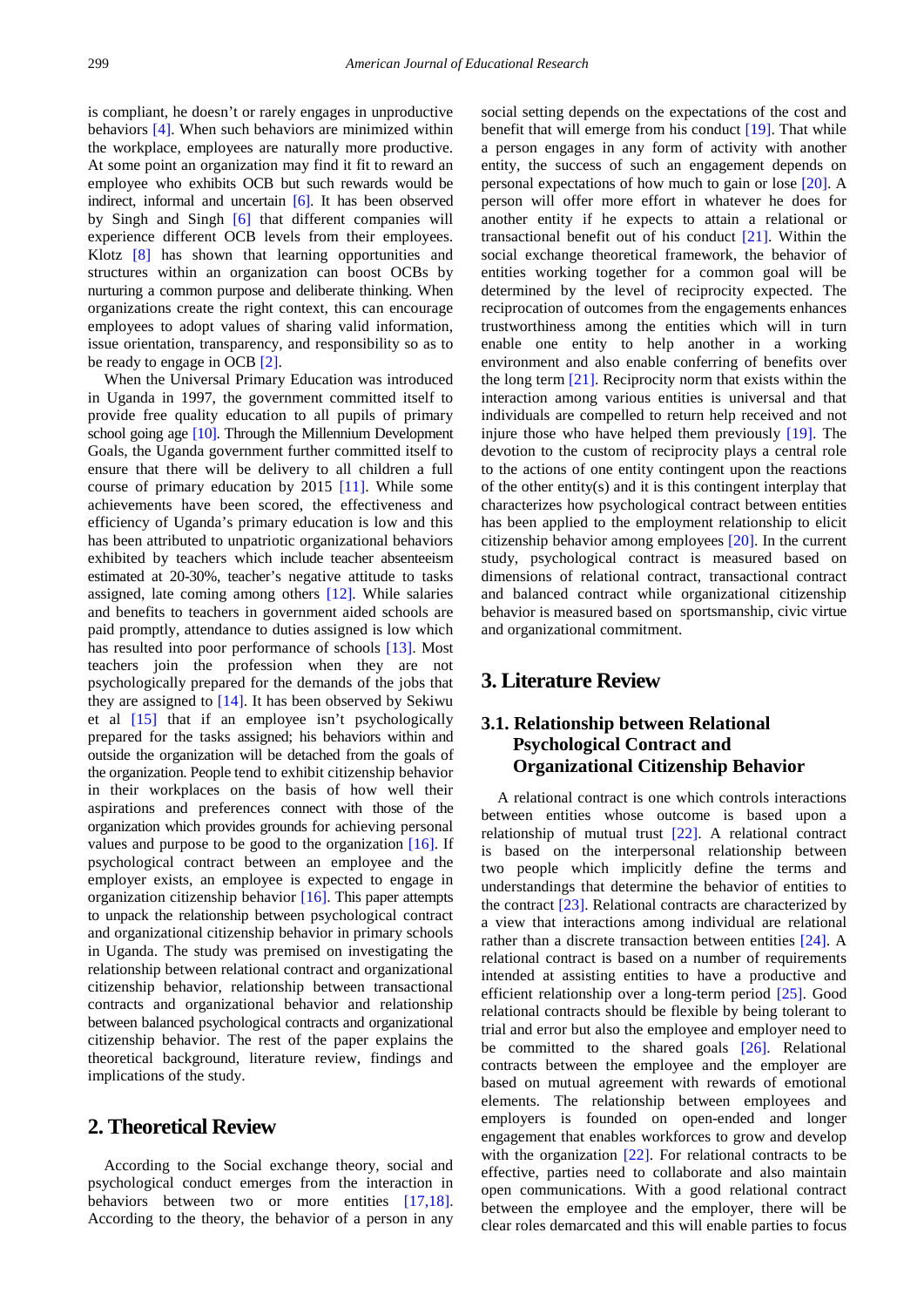is compliant, he doesn't or rarely engages in unproductive behaviors [\[4\].](#page-4-3) When such behaviors are minimized within the workplace, employees are naturally more productive. At some point an organization may find it fit to reward an employee who exhibits OCB but such rewards would be indirect, informal and uncertain [\[6\].](#page-4-5) It has been observed by Singh and Singh [\[6\]](#page-4-5) that different companies will experience different OCB levels from their employees. Klotz [\[8\]](#page-5-1) has shown that learning opportunities and structures within an organization can boost OCBs by nurturing a common purpose and deliberate thinking. When organizations create the right context, this can encourage employees to adopt values of sharing valid information, issue orientation, transparency, and responsibility so as to be ready to engage in OCB [\[2\].](#page-4-1)

When the Universal Primary Education was introduced in Uganda in 1997, the government committed itself to provide free quality education to all pupils of primary school going age [\[10\].](#page-5-3) Through the Millennium Development Goals, the Uganda government further committed itself to ensure that there will be delivery to all children a full course of primary education by 2015 [\[11\].](#page-5-4) While some achievements have been scored, the effectiveness and efficiency of Uganda's primary education is low and this has been attributed to unpatriotic organizational behaviors exhibited by teachers which include teacher absenteeism estimated at 20-30%, teacher's negative attitude to tasks assigned, late coming among others [\[12\].](#page-5-5) While salaries and benefits to teachers in government aided schools are paid promptly, attendance to duties assigned is low which has resulted into poor performance of schools [\[13\].](#page-5-6) Most teachers join the profession when they are not psychologically prepared for the demands of the jobs that they are assigned to  $[14]$ . It has been observed by Sekiwu et al [\[15\]](#page-5-8) that if an employee isn't psychologically prepared for the tasks assigned; his behaviors within and outside the organization will be detached from the goals of the organization. People tend to exhibit citizenship behavior in their workplaces on the basis of how well their aspirations and preferences connect with those of the organization which provides grounds for achieving personal values and purpose to be good to the organization [\[16\].](#page-5-9) If psychological contract between an employee and the employer exists, an employee is expected to engage in organization citizenship behavior [\[16\].](#page-5-9) This paper attempts to unpack the relationship between psychological contract and organizational citizenship behavior in primary schools in Uganda. The study was premised on investigating the relationship between relational contract and organizational citizenship behavior, relationship between transactional contracts and organizational behavior and relationship between balanced psychological contracts and organizational citizenship behavior. The rest of the paper explains the theoretical background, literature review, findings and implications of the study.

## **2. Theoretical Review**

According to the Social exchange theory, social and psychological conduct emerges from the interaction in behaviors between two or more entities [\[17,18\].](#page-5-10) According to the theory, the behavior of a person in any

social setting depends on the expectations of the cost and benefit that will emerge from his conduct [\[19\].](#page-5-11) That while a person engages in any form of activity with another entity, the success of such an engagement depends on personal expectations of how much to gain or lose [\[20\].](#page-5-12) A person will offer more effort in whatever he does for another entity if he expects to attain a relational or transactional benefit out of his conduct [\[21\].](#page-5-13) Within the social exchange theoretical framework, the behavior of entities working together for a common goal will be determined by the level of reciprocity expected. The reciprocation of outcomes from the engagements enhances trustworthiness among the entities which will in turn enable one entity to help another in a working environment and also enable conferring of benefits over the long term [\[21\].](#page-5-13) Reciprocity norm that exists within the interaction among various entities is universal and that individuals are compelled to return help received and not injure those who have helped them previously [\[19\].](#page-5-11) The devotion to the custom of reciprocity plays a central role to the actions of one entity contingent upon the reactions of the other entity(s) and it is this contingent interplay that characterizes how psychological contract between entities has been applied to the employment relationship to elicit citizenship behavior among employees [\[20\].](#page-5-12) In the current study, psychological contract is measured based on dimensions of relational contract, transactional contract and balanced contract while organizational citizenship behavior is measured based on sportsmanship, civic virtue and organizational commitment.

## **3. Literature Review**

## **3.1. Relationship between Relational Psychological Contract and Organizational Citizenship Behavior**

A relational contract is one which controls interactions between entities whose outcome is based upon a relationship of mutual trust [\[22\].](#page-5-14) A relational contract is based on the interpersonal relationship between two people which implicitly define the terms and understandings that determine the behavior of entities to the contract [\[23\].](#page-5-15) Relational contracts are characterized by a view that interactions among individual are relational rather than a discrete transaction between entities [\[24\].](#page-5-16) A relational contract is based on a number of requirements intended at assisting entities to have a productive and efficient relationship over a long-term period [\[25\].](#page-5-17) Good relational contracts should be flexible by being tolerant to trial and error but also the employee and employer need to be committed to the shared goals [\[26\].](#page-5-18) Relational contracts between the employee and the employer are based on mutual agreement with rewards of emotional elements. The relationship between employees and employers is founded on open-ended and longer engagement that enables workforces to grow and develop with the organization [\[22\].](#page-5-14) For relational contracts to be effective, parties need to collaborate and also maintain open communications. With a good relational contract between the employee and the employer, there will be clear roles demarcated and this will enable parties to focus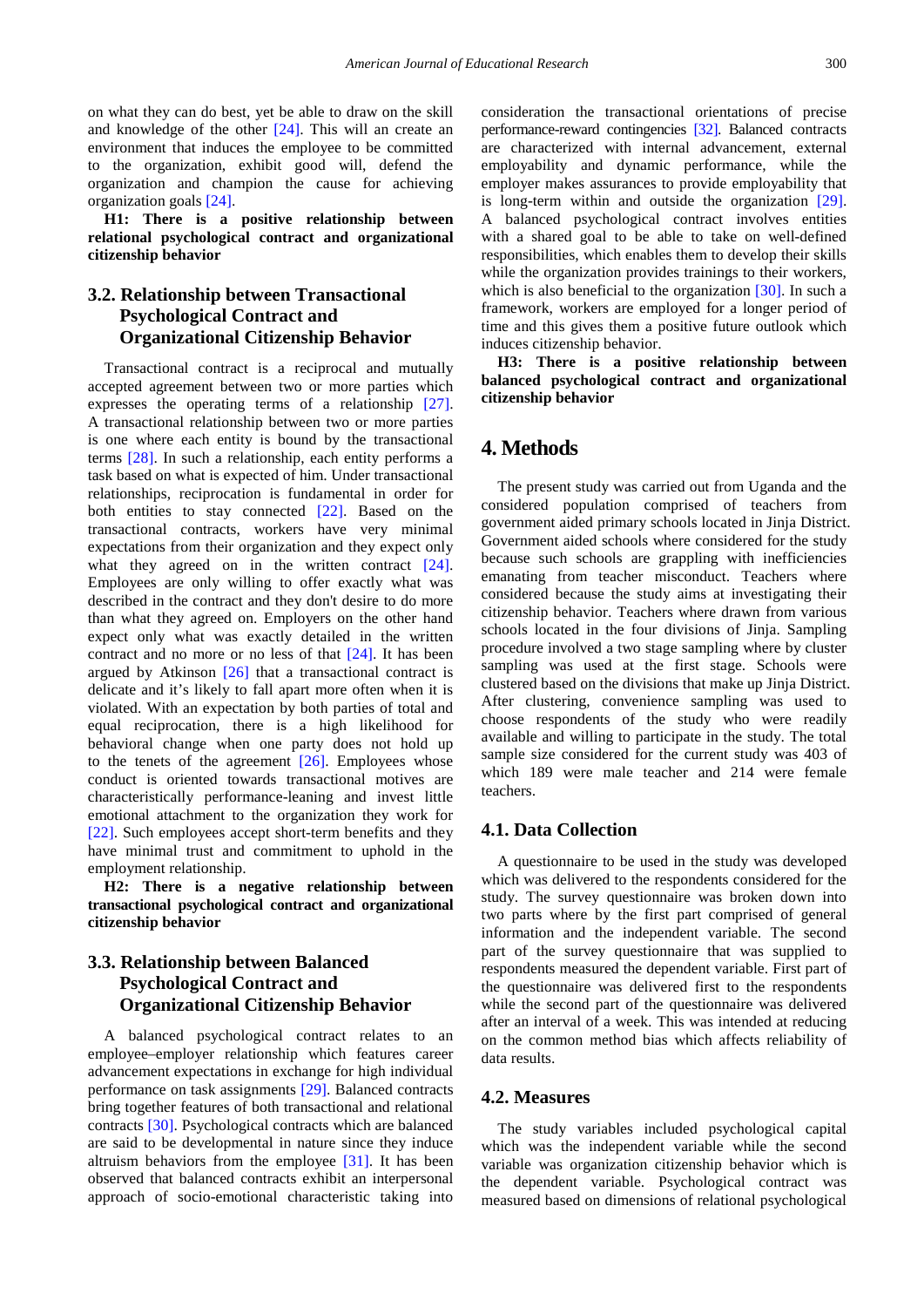on what they can do best, yet be able to draw on the skill and knowledge of the other [\[24\].](#page-5-16) This will an create an environment that induces the employee to be committed to the organization, exhibit good will, defend the organization and champion the cause for achieving organization goals [\[24\].](#page-5-16) 

**H1: There is a positive relationship between relational psychological contract and organizational citizenship behavior**

## **3.2. Relationship between Transactional Psychological Contract and Organizational Citizenship Behavior**

Transactional contract is a reciprocal and mutually accepted agreement between two or more parties which expresses the operating terms of a relationship [\[27\].](#page-5-19) A transactional relationship between two or more parties is one where each entity is bound by the transactional terms [\[28\].](#page-5-20) In such a relationship, each entity performs a task based on what is expected of him. Under transactional relationships, reciprocation is fundamental in order for both entities to stay connected [\[22\].](#page-5-14) Based on the transactional contracts, workers have very minimal expectations from their organization and they expect only what they agreed on in the written contract [\[24\].](#page-5-16) Employees are only willing to offer exactly what was described in the contract and they don't desire to do more than what they agreed on. Employers on the other hand expect only what was exactly detailed in the written contract and no more or no less of that [\[24\].](#page-5-16) It has been argued by Atkinson [\[26\]](#page-5-18) that a transactional contract is delicate and it's likely to fall apart more often when it is violated. With an expectation by both parties of total and equal reciprocation, there is a high likelihood for behavioral change when one party does not hold up to the tenets of the agreement [\[26\].](#page-5-18) Employees whose conduct is oriented towards transactional motives are characteristically performance-leaning and invest little emotional attachment to the organization they work for [\[22\].](#page-5-14) Such employees accept short-term benefits and they have minimal trust and commitment to uphold in the employment relationship.

**H2: There is a negative relationship between transactional psychological contract and organizational citizenship behavior**

## **3.3. Relationship between Balanced Psychological Contract and Organizational Citizenship Behavior**

A balanced psychological contract relates to an employee–employer relationship which features career advancement expectations in exchange for high individual performance on task assignments [\[29\].](#page-5-21) Balanced contracts bring together features of both transactional and relational contracts [\[30\].](#page-5-22) Psychological contracts which are balanced are said to be developmental in nature since they induce altruism behaviors from the employee [\[31\].](#page-5-23) It has been observed that balanced contracts exhibit an interpersonal approach of socio-emotional characteristic taking into

consideration the transactional orientations of precise performance-reward contingencies [\[32\].](#page-5-24) Balanced contracts are characterized with internal advancement, external employability and dynamic performance, while the employer makes assurances to provide employability that is long-term within and outside the organization [\[29\].](#page-5-21) A balanced psychological contract involves entities with a shared goal to be able to take on well-defined responsibilities, which enables them to develop their skills while the organization provides trainings to their workers, which is also beneficial to the organization  $[30]$ . In such a framework, workers are employed for a longer period of time and this gives them a positive future outlook which induces citizenship behavior.

**H3: There is a positive relationship between balanced psychological contract and organizational citizenship behavior**

## **4. Methods**

The present study was carried out from Uganda and the considered population comprised of teachers from government aided primary schools located in Jinja District. Government aided schools where considered for the study because such schools are grappling with inefficiencies emanating from teacher misconduct. Teachers where considered because the study aims at investigating their citizenship behavior. Teachers where drawn from various schools located in the four divisions of Jinja. Sampling procedure involved a two stage sampling where by cluster sampling was used at the first stage. Schools were clustered based on the divisions that make up Jinja District. After clustering, convenience sampling was used to choose respondents of the study who were readily available and willing to participate in the study. The total sample size considered for the current study was 403 of which 189 were male teacher and 214 were female teachers.

### **4.1. Data Collection**

A questionnaire to be used in the study was developed which was delivered to the respondents considered for the study. The survey questionnaire was broken down into two parts where by the first part comprised of general information and the independent variable. The second part of the survey questionnaire that was supplied to respondents measured the dependent variable. First part of the questionnaire was delivered first to the respondents while the second part of the questionnaire was delivered after an interval of a week. This was intended at reducing on the common method bias which affects reliability of data results.

## **4.2. Measures**

The study variables included psychological capital which was the independent variable while the second variable was organization citizenship behavior which is the dependent variable. Psychological contract was measured based on dimensions of relational psychological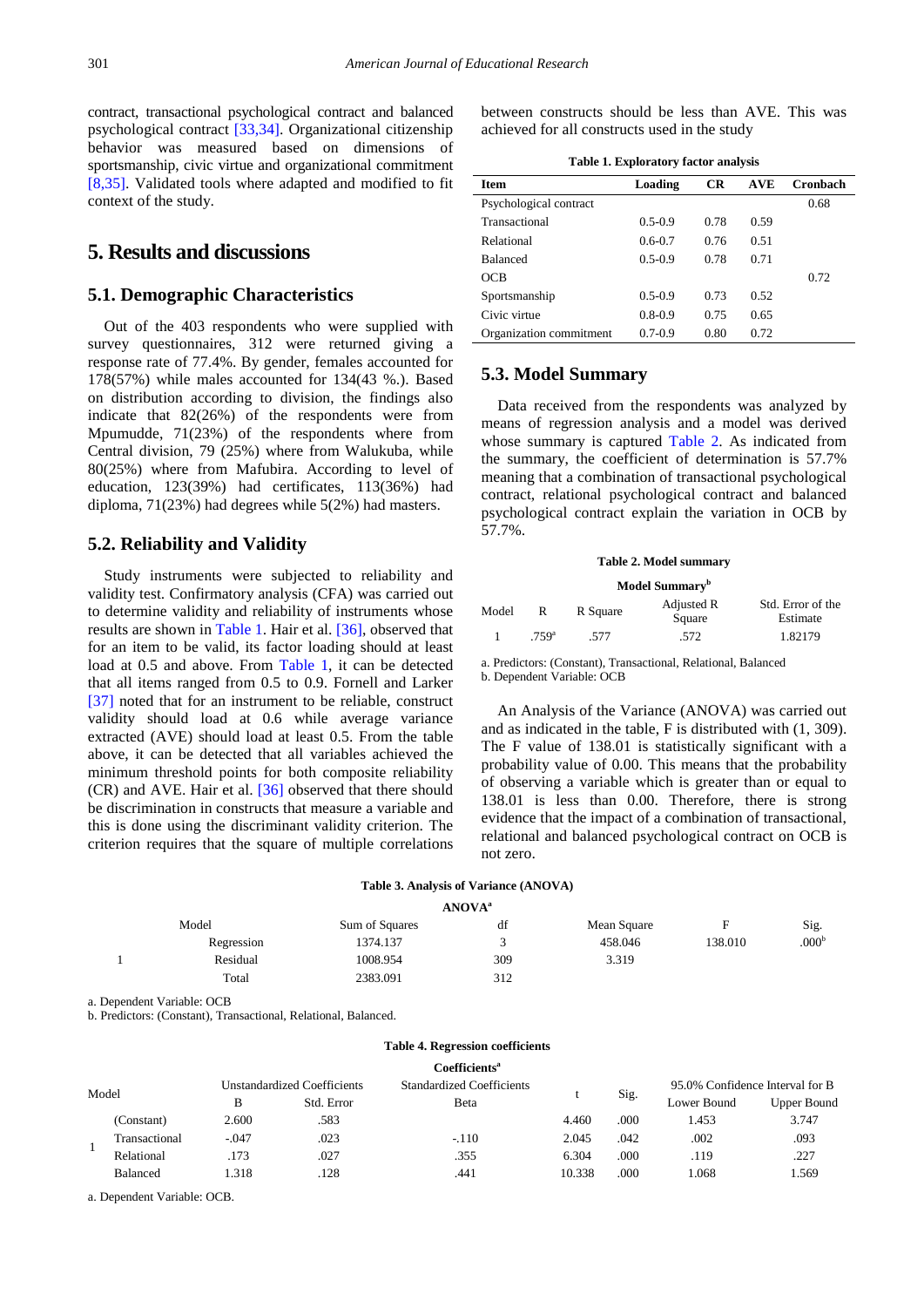contract, transactional psychological contract and balanced psychological contract [\[33,34\].](#page-5-25) Organizational citizenship behavior was measured based on dimensions of sportsmanship, civic virtue and organizational commitment [\[8,35\].](#page-5-1) Validated tools where adapted and modified to fit context of the study.

# **5. Results and discussions**

#### **5.1. Demographic Characteristics**

Out of the 403 respondents who were supplied with survey questionnaires, 312 were returned giving a response rate of 77.4%. By gender, females accounted for 178(57%) while males accounted for 134(43 %.). Based on distribution according to division, the findings also indicate that 82(26%) of the respondents were from Mpumudde, 71(23%) of the respondents where from Central division, 79 (25%) where from Walukuba, while 80(25%) where from Mafubira. According to level of education, 123(39%) had certificates, 113(36%) had diploma, 71(23%) had degrees while 5(2%) had masters.

#### **5.2. Reliability and Validity**

Study instruments were subjected to reliability and validity test. Confirmatory analysis (CFA) was carried out to determine validity and reliability of instruments whose results are shown in [Table 1.](#page-3-0) Hair et al. [\[36\],](#page-5-26) observed that for an item to be valid, its factor loading should at least load at 0.5 and above. From [Table 1,](#page-3-0) it can be detected that all items ranged from 0.5 to 0.9. Fornell and Larker [\[37\]](#page-5-27) noted that for an instrument to be reliable, construct validity should load at 0.6 while average variance extracted (AVE) should load at least 0.5. From the table above, it can be detected that all variables achieved the minimum threshold points for both composite reliability (CR) and AVE. Hair et al. [\[36\]](#page-5-26) observed that there should be discrimination in constructs that measure a variable and this is done using the discriminant validity criterion. The criterion requires that the square of multiple correlations between constructs should be less than AVE. This was achieved for all constructs used in the study

<span id="page-3-0"></span>

| <b>Item</b>             | Loading     | <b>CR</b> | <b>AVE</b> | Cronbach |
|-------------------------|-------------|-----------|------------|----------|
| Psychological contract  |             |           |            | 0.68     |
| Transactional           | $0.5 - 0.9$ | 0.78      | 0.59       |          |
| Relational              | $0.6 - 0.7$ | 0.76      | 0.51       |          |
| <b>Balanced</b>         | $0.5 - 0.9$ | 0.78      | 0.71       |          |
| OCB                     |             |           |            | 0.72     |
| Sportsmanship           | $0.5 - 0.9$ | 0.73      | 0.52       |          |
| Civic virtue            | $0.8 - 0.9$ | 0.75      | 0.65       |          |
| Organization commitment | $0.7 - 0.9$ | 0.80      | 0.72       |          |

## **5.3. Model Summary**

Data received from the respondents was analyzed by means of regression analysis and a model was derived whose summary is captured [Table 2.](#page-3-1) As indicated from the summary, the coefficient of determination is 57.7% meaning that a combination of transactional psychological contract, relational psychological contract and balanced psychological contract explain the variation in OCB by 57.7%.

#### **Table 2. Model summary**

#### **Model Summary<sup>b</sup>**

<span id="page-3-1"></span>

| Model |                   | R Square | Adjusted R<br>Square | Std. Error of the<br>Estimate |  |
|-------|-------------------|----------|----------------------|-------------------------------|--|
|       | .759 <sup>a</sup> | .577     | .572                 | 1.82179                       |  |

a. Predictors: (Constant), Transactional, Relational, Balanced b. Dependent Variable: OCB

An Analysis of the Variance (ANOVA) was carried out and as indicated in the table, F is distributed with (1, 309). The F value of 138.01 is statistically significant with a probability value of 0.00. This means that the probability of observing a variable which is greater than or equal to 138.01 is less than 0.00. Therefore, there is strong evidence that the impact of a combination of transactional, relational and balanced psychological contract on OCB is not zero.

| Table 3. Analysis of Variance (ANOVA) |  |  |  |  |  |
|---------------------------------------|--|--|--|--|--|
| 1.777712                              |  |  |  |  |  |

| Model      | Sum of Squares | df  | Mean Square |         | Sig.              |
|------------|----------------|-----|-------------|---------|-------------------|
| Regression | 1374.137       |     | 458.046     | 138.010 | .000 <sup>b</sup> |
| Residual   | 1008.954       | 309 | 3.319       |         |                   |
| Total      | 2383.091       | 312 |             |         |                   |
|            |                |     | ANUVA"      |         |                   |

a. Dependent Variable: OCB

b. Predictors: (Constant), Transactional, Relational, Balanced.

#### **Table 4. Regression coefficients**

<span id="page-3-2"></span>

|       |                 |                                    |            | Coefficients <sup>a</sup>        |        |      |                                 |                    |
|-------|-----------------|------------------------------------|------------|----------------------------------|--------|------|---------------------------------|--------------------|
| Model |                 | <b>Unstandardized Coefficients</b> |            | <b>Standardized Coefficients</b> |        |      | 95.0% Confidence Interval for B |                    |
|       |                 | В                                  | Std. Error | Beta                             |        | Sig. | Lower Bound                     | <b>Upper Bound</b> |
|       | (Constant)      | 2.600                              | .583       |                                  | 4.460  | .000 | 1.453                           | 3.747              |
|       | Transactional   | $-.047$                            | .023       | $-.110$                          | 2.045  | .042 | .002                            | .093               |
|       | Relational      | .173                               | .027       | .355                             | 6.304  | .000 | .119                            | .227               |
|       | <b>Balanced</b> | 1.318                              | .128       | .441                             | 10.338 | .000 | 1.068                           | .569               |

a. Dependent Variable: OCB.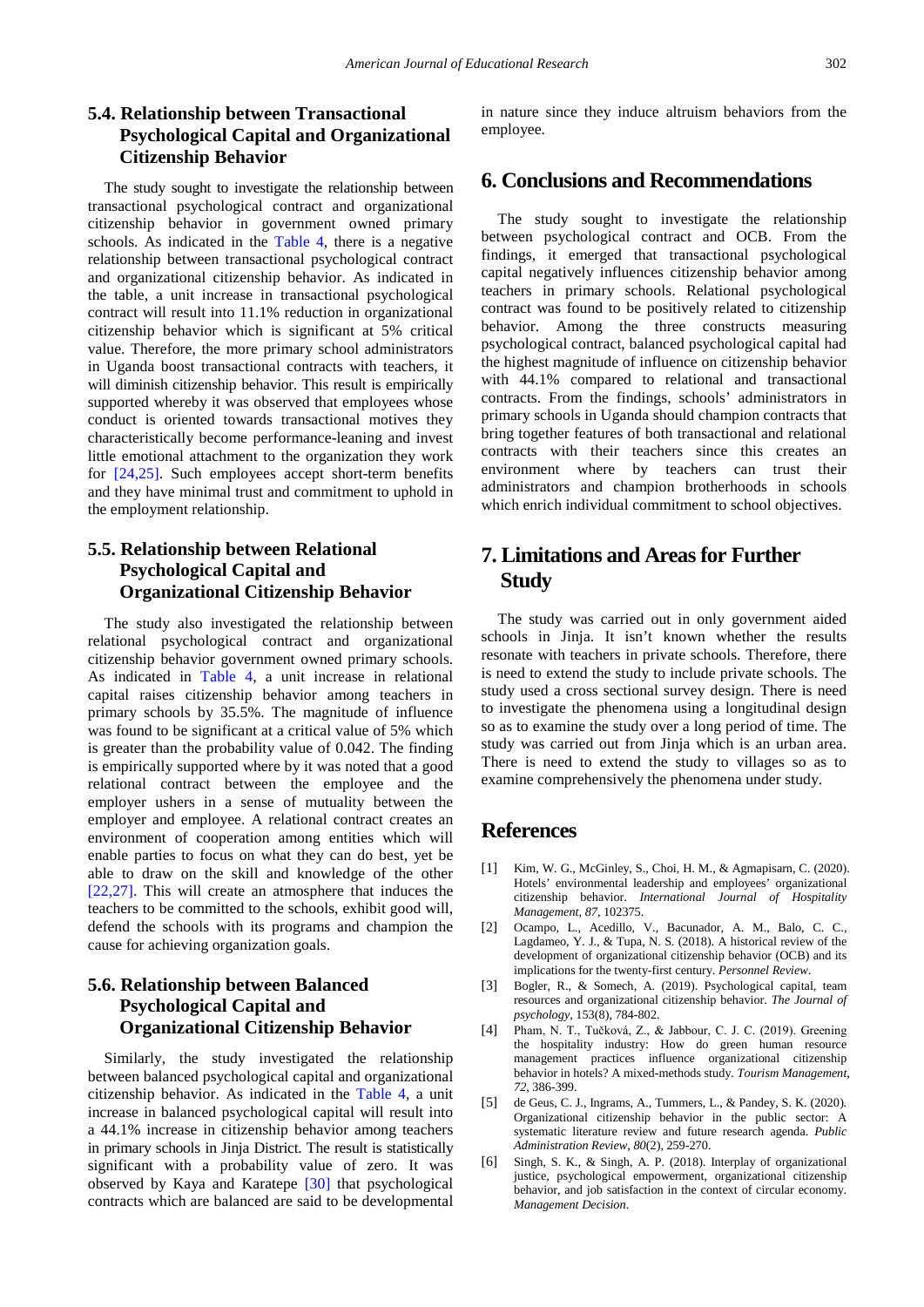## **5.4. Relationship between Transactional Psychological Capital and Organizational Citizenship Behavior**

The study sought to investigate the relationship between transactional psychological contract and organizational citizenship behavior in government owned primary schools. As indicated in the [Table 4,](#page-3-2) there is a negative relationship between transactional psychological contract and organizational citizenship behavior. As indicated in the table, a unit increase in transactional psychological contract will result into 11.1% reduction in organizational citizenship behavior which is significant at 5% critical value. Therefore, the more primary school administrators in Uganda boost transactional contracts with teachers, it will diminish citizenship behavior. This result is empirically supported whereby it was observed that employees whose conduct is oriented towards transactional motives they characteristically become performance-leaning and invest little emotional attachment to the organization they work for [\[24,25\].](#page-5-16) Such employees accept short-term benefits and they have minimal trust and commitment to uphold in the employment relationship.

## **5.5. Relationship between Relational Psychological Capital and Organizational Citizenship Behavior**

The study also investigated the relationship between relational psychological contract and organizational citizenship behavior government owned primary schools. As indicated in [Table 4,](#page-3-2) a unit increase in relational capital raises citizenship behavior among teachers in primary schools by 35.5%. The magnitude of influence was found to be significant at a critical value of 5% which is greater than the probability value of 0.042. The finding is empirically supported where by it was noted that a good relational contract between the employee and the employer ushers in a sense of mutuality between the employer and employee. A relational contract creates an environment of cooperation among entities which will enable parties to focus on what they can do best, yet be able to draw on the skill and knowledge of the other [\[22,27\].](#page-5-14) This will create an atmosphere that induces the teachers to be committed to the schools, exhibit good will, defend the schools with its programs and champion the cause for achieving organization goals.

## **5.6. Relationship between Balanced Psychological Capital and Organizational Citizenship Behavior**

Similarly, the study investigated the relationship between balanced psychological capital and organizational citizenship behavior. As indicated in the [Table 4,](#page-3-2) a unit increase in balanced psychological capital will result into a 44.1% increase in citizenship behavior among teachers in primary schools in Jinja District. The result is statistically significant with a probability value of zero. It was observed by Kaya and Karatepe [\[30\]](#page-5-22) that psychological contracts which are balanced are said to be developmental

in nature since they induce altruism behaviors from the employee.

## **6. Conclusions and Recommendations**

The study sought to investigate the relationship between psychological contract and OCB. From the findings, it emerged that transactional psychological capital negatively influences citizenship behavior among teachers in primary schools. Relational psychological contract was found to be positively related to citizenship behavior. Among the three constructs measuring psychological contract, balanced psychological capital had the highest magnitude of influence on citizenship behavior with 44.1% compared to relational and transactional contracts. From the findings, schools' administrators in primary schools in Uganda should champion contracts that bring together features of both transactional and relational contracts with their teachers since this creates an environment where by teachers can trust their administrators and champion brotherhoods in schools which enrich individual commitment to school objectives.

# **7. Limitations and Areas for Further Study**

The study was carried out in only government aided schools in Jinja. It isn't known whether the results resonate with teachers in private schools. Therefore, there is need to extend the study to include private schools. The study used a cross sectional survey design. There is need to investigate the phenomena using a longitudinal design so as to examine the study over a long period of time. The study was carried out from Jinja which is an urban area. There is need to extend the study to villages so as to examine comprehensively the phenomena under study.

## **References**

- <span id="page-4-0"></span>[1] Kim, W. G., McGinley, S., Choi, H. M., & Agmapisarn, C. (2020). Hotels' environmental leadership and employees' organizational citizenship behavior. *International Journal of Hospitality Management*, *87*, 102375.
- <span id="page-4-1"></span>[2] Ocampo, L., Acedillo, V., Bacunador, A. M., Balo, C. C., Lagdameo, Y. J., & Tupa, N. S. (2018). A historical review of the development of organizational citizenship behavior (OCB) and its implications for the twenty-first century. *Personnel Review*.
- <span id="page-4-2"></span>[3] Bogler, R., & Somech, A. (2019). Psychological capital, team resources and organizational citizenship behavior. *The Journal of psychology*, 153(8), 784-802.
- <span id="page-4-3"></span>[4] Pham, N. T., Tučková, Z., & Jabbour, C. J. C. (2019). Greening the hospitality industry: How do green human resource management practices influence organizational citizenship behavior in hotels? A mixed-methods study. *Tourism Management*, *72*, 386-399.
- <span id="page-4-4"></span>[5] de Geus, C. J., Ingrams, A., Tummers, L., & Pandey, S. K. (2020). Organizational citizenship behavior in the public sector: A systematic literature review and future research agenda. *Public Administration Review*, *80*(2), 259-270.
- <span id="page-4-5"></span>[6] Singh, S. K., & Singh, A. P. (2018). Interplay of organizational justice, psychological empowerment, organizational citizenship behavior, and job satisfaction in the context of circular economy. *Management Decision*.